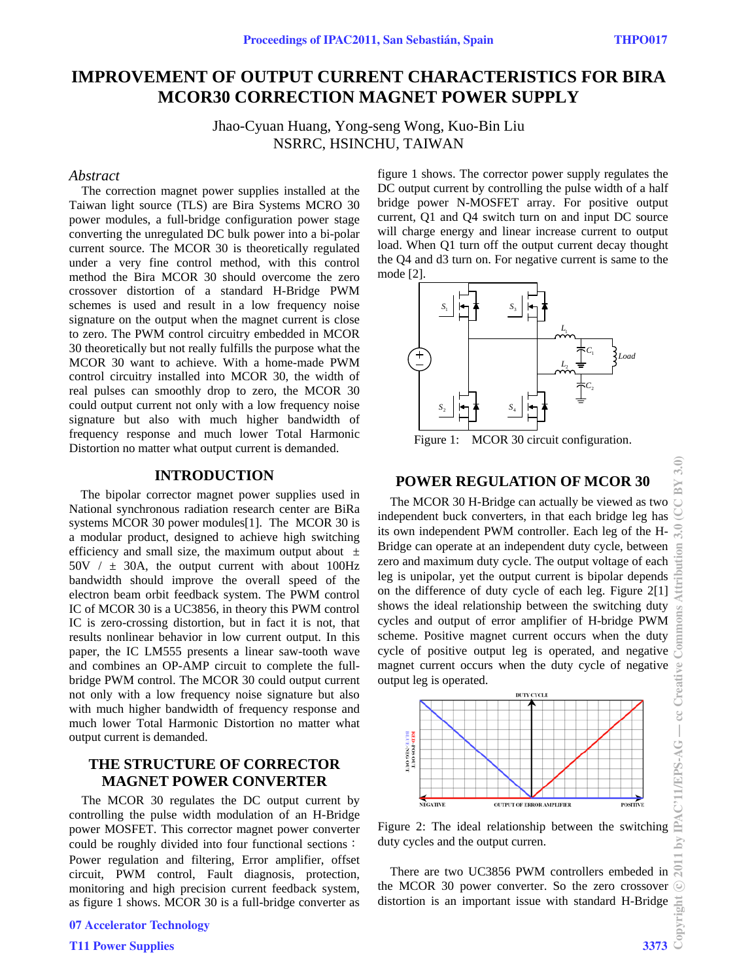# **IMPROVEMENT OF OUTPUT CURRENT CHARACTERISTICS FOR BIRA MCOR30 CORRECTION MAGNET POWER SUPPLY**

Jhao-Cyuan Huang, Yong-seng Wong, Kuo-Bin Liu NSRRC, HSINCHU, TAIWAN

#### *Abstract*

The correction magnet power supplies installed at the Taiwan light source (TLS) are Bira Systems MCRO 30 power modules, a full-bridge configuration power stage converting the unregulated DC bulk power into a bi-polar current source. The MCOR 30 is theoretically regulated under a very fine control method, with this control method the Bira MCOR 30 should overcome the zero crossover distortion of a standard H-Bridge PWM schemes is used and result in a low frequency noise signature on the output when the magnet current is close to zero. The PWM control circuitry embedded in MCOR 30 theoretically but not really fulfills the purpose what the MCOR 30 want to achieve. With a home-made PWM control circuitry installed into MCOR 30, the width of real pulses can smoothly drop to zero, the MCOR 30 could output current not only with a low frequency noise signature but also with much higher bandwidth of frequency response and much lower Total Harmonic Distortion no matter what output current is demanded.

### **INTRODUCTION**

The bipolar corrector magnet power supplies used in National synchronous radiation research center are BiRa systems MCOR 30 power modules[1]. The MCOR 30 is a modular product, designed to achieve high switching efficiency and small size, the maximum output about  $\pm$  $50V / ± 30A$ , the output current with about  $100Hz$ bandwidth should improve the overall speed of the electron beam orbit feedback system. The PWM control IC of MCOR 30 is a UC3856, in theory this PWM control IC is zero-crossing distortion, but in fact it is not, that results nonlinear behavior in low current output. In this paper, the IC LM555 presents a linear saw-tooth wave and combines an OP-AMP circuit to complete the fullbridge PWM control. The MCOR 30 could output current not only with a low frequency noise signature but also with much higher bandwidth of frequency response and much lower Total Harmonic Distortion no matter what output current is demanded.

## **THE STRUCTURE OF CORRECTOR MAGNET POWER CONVERTER**

The MCOR 30 regulates the DC output current by controlling the pulse width modulation of an H-Bridge power MOSFET. This corrector magnet power converter could be roughly divided into four functional sections: Power regulation and filtering, Error amplifier, offset circuit, PWM control, Fault diagnosis, protection, monitoring and high precision current feedback system, as figure 1 shows. MCOR 30 is a full-bridge converter as figure 1 shows. The corrector power supply regulates the DC output current by controlling the pulse width of a half bridge power N-MOSFET array. For positive output current, Q1 and Q4 switch turn on and input DC source will charge energy and linear increase current to output load. When Q1 turn off the output current decay thought the Q4 and d3 turn on. For negative current is same to the mode [2].



Figure 1: MCOR 30 circuit configuration.

# **POWER REGULATION OF MCOR 30**

The MCOR 30 H-Bridge can actually be viewed as two independent buck converters, in that each bridge leg has its own independent PWM controller. Each leg of the H-Bridge can operate at an independent duty cycle, between zero and maximum duty cycle. The output voltage of each leg is unipolar, yet the output current is bipolar depends on the difference of duty cycle of each leg. Figure 2[1] shows the ideal relationship between the switching duty cycles and output of error amplifier of H-bridge PWM scheme. Positive magnet current occurs when the duty cycle of positive output leg is operated, and negative magnet current occurs when the duty cycle of negative output leg is operated.



Figure 2: The ideal relationship between the switching duty cycles and the output curren.

There are two UC3856 PWM controllers embeded in  $\approx$ the MCOR 30 power converter. So the zero crossover distortion is an important issue with standard H-Bridge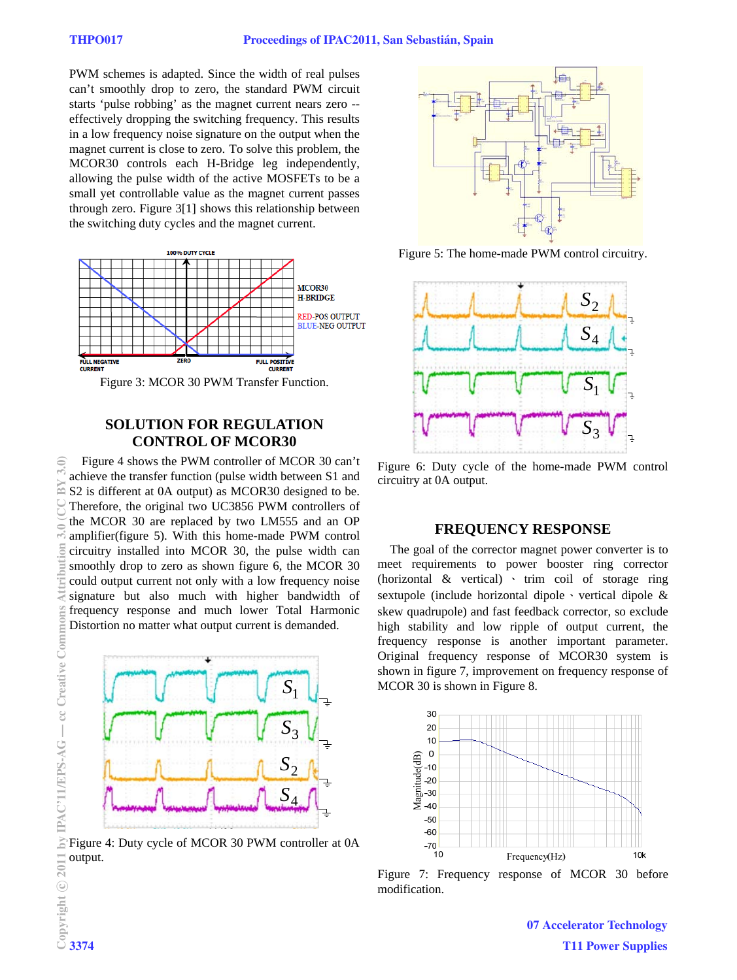PWM schemes is adapted. Since the width of real pulses can't smoothly drop to zero, the standard PWM circuit starts 'pulse robbing' as the magnet current nears zero - effectively dropping the switching frequency. This results in a low frequency noise signature on the output when the magnet current is close to zero. To solve this problem, the MCOR30 controls each H-Bridge leg independently, allowing the pulse width of the active MOSFETs to be a small yet controllable value as the magnet current passes through zero. Figure 3[1] shows this relationship between the switching duty cycles and the magnet current.



Figure 3: MCOR 30 PWM Transfer Function.

# **SOLUTION FOR REGULATION CONTROL OF MCOR30**

Figure 4 shows the PWM controller of MCOR 30 can't achieve the transfer function (pulse width between S1 and S2 is different at 0A output) as MCOR30 designed to be. Therefore, the original two UC3856 PWM controllers of the MCOR 30 are replaced by two LM555 and an OP amplifier(figure 5). With this home-made PWM control circuitry installed into MCOR 30, the pulse width can smoothly drop to zero as shown figure 6, the MCOR 30 could output current not only with a low frequency noise signature but also much with higher bandwidth of frequency response and much lower Total Harmonic Distortion no matter what output current is demanded.



Figure 4: Duty cycle of MCOR 30 PWM controller at 0A output.



Figure 5: The home-made PWM control circuitry.



Figure 6: Duty cycle of the home-made PWM control circuitry at 0A output.

#### **FREQUENCY RESPONSE**

The goal of the corrector magnet power converter is to meet requirements to power booster ring corrector (horizontal & vertical) 、 trim coil of storage ring sextupole (include horizontal dipole  $\cdot$  vertical dipole & skew quadrupole) and fast feedback corrector, so exclude high stability and low ripple of output current, the frequency response is another important parameter. Original frequency response of MCOR30 system is shown in figure 7, improvement on frequency response of MCOR 30 is shown in Figure 8.



Figure 7: Frequency response of MCOR 30 before modification.

07 Accelerator Technology T11 Power Supplies